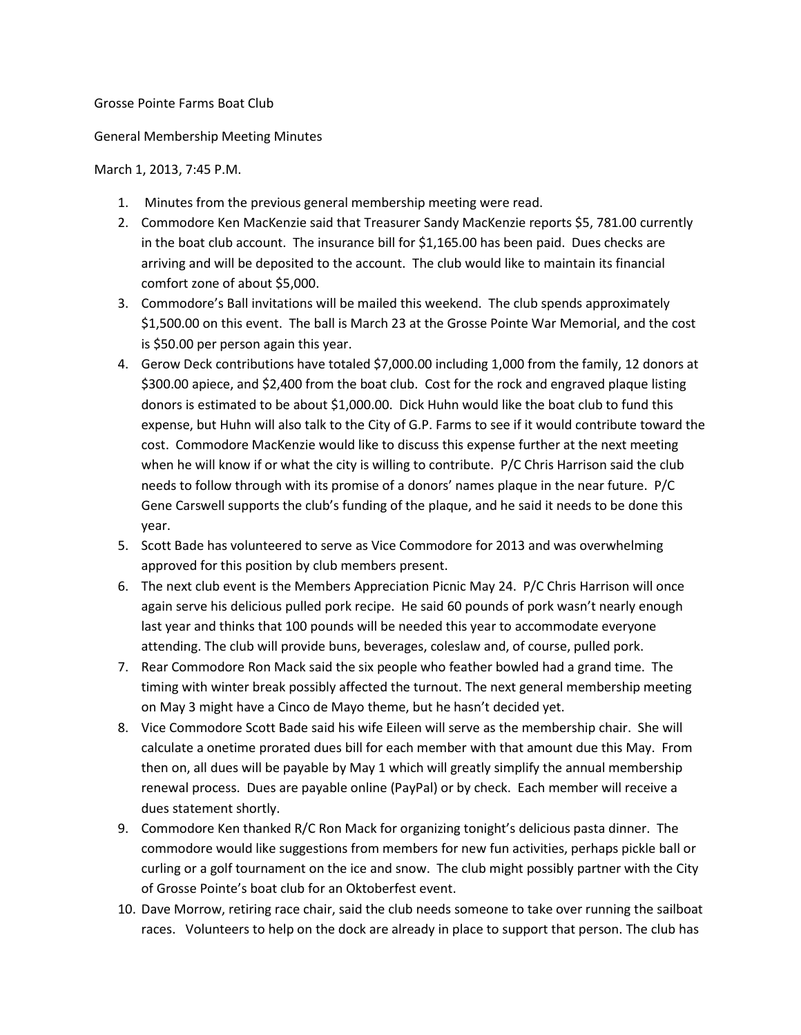## Grosse Pointe Farms Boat Club

## General Membership Meeting Minutes

## March 1, 2013, 7:45 P.M.

- 1. Minutes from the previous general membership meeting were read.
- 2. Commodore Ken MacKenzie said that Treasurer Sandy MacKenzie reports \$5, 781.00 currently in the boat club account. The insurance bill for \$1,165.00 has been paid. Dues checks are arriving and will be deposited to the account. The club would like to maintain its financial comfort zone of about \$5,000.
- 3. Commodore's Ball invitations will be mailed this weekend. The club spends approximately \$1,500.00 on this event. The ball is March 23 at the Grosse Pointe War Memorial, and the cost is \$50.00 per person again this year.
- 4. Gerow Deck contributions have totaled \$7,000.00 including 1,000 from the family, 12 donors at \$300.00 apiece, and \$2,400 from the boat club. Cost for the rock and engraved plaque listing donors is estimated to be about \$1,000.00. Dick Huhn would like the boat club to fund this expense, but Huhn will also talk to the City of G.P. Farms to see if it would contribute toward the cost. Commodore MacKenzie would like to discuss this expense further at the next meeting when he will know if or what the city is willing to contribute. P/C Chris Harrison said the club needs to follow through with its promise of a donors' names plaque in the near future. P/C Gene Carswell supports the club's funding of the plaque, and he said it needs to be done this year.
- 5. Scott Bade has volunteered to serve as Vice Commodore for 2013 and was overwhelming approved for this position by club members present.
- 6. The next club event is the Members Appreciation Picnic May 24. P/C Chris Harrison will once again serve his delicious pulled pork recipe. He said 60 pounds of pork wasn't nearly enough last year and thinks that 100 pounds will be needed this year to accommodate everyone attending. The club will provide buns, beverages, coleslaw and, of course, pulled pork.
- 7. Rear Commodore Ron Mack said the six people who feather bowled had a grand time. The timing with winter break possibly affected the turnout. The next general membership meeting on May 3 might have a Cinco de Mayo theme, but he hasn't decided yet.
- 8. Vice Commodore Scott Bade said his wife Eileen will serve as the membership chair. She will calculate a onetime prorated dues bill for each member with that amount due this May. From then on, all dues will be payable by May 1 which will greatly simplify the annual membership renewal process. Dues are payable online (PayPal) or by check. Each member will receive a dues statement shortly.
- 9. Commodore Ken thanked R/C Ron Mack for organizing tonight's delicious pasta dinner. The commodore would like suggestions from members for new fun activities, perhaps pickle ball or curling or a golf tournament on the ice and snow. The club might possibly partner with the City of Grosse Pointe's boat club for an Oktoberfest event.
- 10. Dave Morrow, retiring race chair, said the club needs someone to take over running the sailboat races. Volunteers to help on the dock are already in place to support that person. The club has